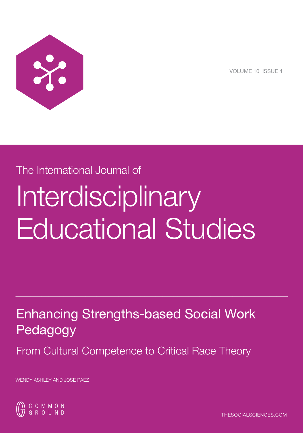

VOLUME 10 ISSUE 4

# The International Journal of Interdisciplinary

# Enhancing Strengths-based Social Work Pedagogy

 $\_$  , and the set of the set of the set of the set of the set of the set of the set of the set of the set of the set of the set of the set of the set of the set of the set of the set of the set of the set of the set of th

Educational Studies

From Cultural Competence to Critical Race Theory

WENDY ASHLEY AND JOSE PAEZ

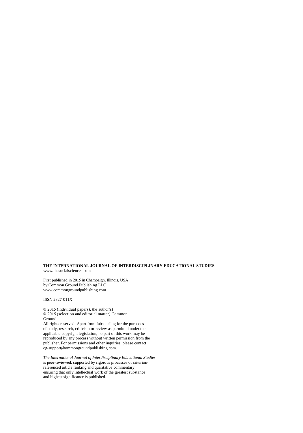#### **THE INTERNATIONAL JOURNAL OF INTERDISCIPLINARY EDUCATIONAL STUDIES** www.thesocialsciences.com

First published in 2015 in Champaign, Illinois, USA by Common Ground Publishing LLC www.commongroundpublishing.com

#### ISSN 2327-011X

© 2015 (individual papers), the author(s) © 2015 (selection and editorial matter) Common Ground All rights reserved. Apart from fair dealing for the purposes

of study, research, criticism or review as permitted under the applicable copyright legislation, no part of this work may be reproduced by any process without written permission from the publisher. For permissions and other inquiries, please contact cg-support@ommongroundpublishing.com.

*The International Journal of Interdisciplinary Educational Studies*  is peer-reviewed, supported by rigorous processes of criterionreferenced article ranking and qualitative commentary, ensuring that only intellectual work of the greatest substance and highest significance is published.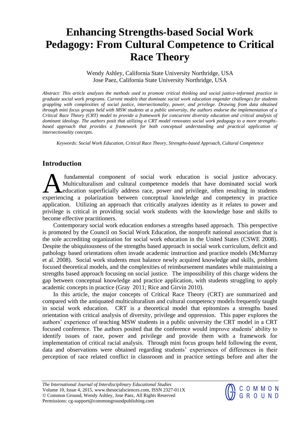# **Enhancing Strengths-based Social Work Pedagogy: From Cultural Competence to Critical Race Theory**

Wendy Ashley, California State University Northridge, USA Jose Paez, California State University Northridge, USA

*Abstract: This article analyzes the methods used to promote critical thinking and social justice-informed practice in graduate social work programs. Current models that dominate social work education engender challenges for students grappling with complexities of social justice, intersectionality, power, and privilege. Drawing from data obtained through mini focus groups held with MSW students at a public university, the authors endorse the implementation of a Critical Race Theory (CRT) model to provide a framework for concurrent diversity education and critical analysis of dominant ideology. The authors posit that utilizing a CRT model renovates social work pedagogy to a more strengthsbased approach that provides a framework for both conceptual understanding and practical application of intersectionality concepts.* 

*Keywords: Social Work Education, Critical Race Theory, Strengths-based Approach, Cultural Competence* 

# **Introduction**

 fundamental component of social work education is social justice advocacy. Multiculturalism and cultural competence models that have dominated social work education superficially address race, power and privilege, often resulting in students fundamental component of social work education is social justice advocacy.<br>
Multiculturalism and cultural competence models that have dominated social work<br>
experiencing a polarization between conceptual knowledge and comp application. Utilizing an approach that critically analyzes identity as it relates to power and privilege is critical in providing social work students with the knowledge base and skills to become effective practitioners.

Contemporary social work education endorses a strengths based approach. This perspective is promoted by the Council on Social Work Education, the nonprofit national association that is the sole accrediting organization for social work education in the United States (CSWE 2008). Despite the ubiquitousness of the strengths based approach in social work curriculum, deficit and pathology based orientations often invade academic instruction and practice models (McMurray et al. 2008). Social work students must balance newly acquired knowledge and skills, problem focused theoretical models, and the complexities of reimbursement mandates while maintaining a strengths based approach focusing on social justice. The impossibility of this charge widens the gap between conceptual knowledge and practice application, with students struggling to apply academic concepts in practice (Gray 2011; Rice and Girvin 2010).

In this article, the major concepts of Critical Race Theory (CRT) are summarized and compared with the antiquated multiculturalism and cultural competency models frequently taught in social work education. CRT is a theoretical model that epitomizes a strengths based orientation with critical analysis of diversity, privilege and oppression. This paper explores the authors' experience of teaching MSW students in a public university the CRT model in a CRT focused conference. The authors posited that the conference would improve students' ability to identify issues of race, power and privilege and provide them with a framework for implementation of critical racial analysis. Through mini focus groups held following the event, data and observations were obtained regarding students' experiences of differences in their perception of race related conflict in classroom and in practice settings before and after the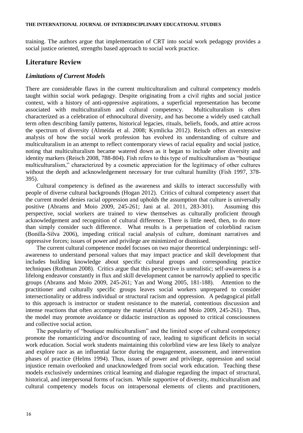#### **THE INTERNATIONAL JOURNAL OF INTERDISCIPLINARY EDUCATIONAL STUDIES**

training. The authors argue that implementation of CRT into social work pedagogy provides a social justice oriented, strengths based approach to social work practice.

# **Literature Review**

#### *Limitations of Current Models*

There are considerable flaws in the current multiculturalism and cultural competency models taught within social work pedagogy. Despite originating from a civil rights and social justice context, with a history of anti-oppressive aspirations, a superficial representation has become associated with multiculturalism and cultural competency. Multiculturalism is often characterized as a celebration of ethnocultural diversity, and has become a widely used catchall term often describing family patterns, historical legacies, rituals, beliefs, foods, and attire across the spectrum of diversity (Almeida et al. 2008; Kymlicka 2012). Reisch offers an extensive analysis of how the social work profession has evolved its understanding of culture and multiculturalism in an attempt to reflect contemporary views of racial equality and social justice, noting that multiculturalism became watered down as it began to include other diversity and identity markers (Reisch 2008, 788-804). Fish refers to this type of multiculturalism as "boutique multiculturalism," characterized by a cosmetic appreciation for the legitimacy of other cultures without the depth and acknowledgement necessary for true cultural humility (Fish 1997, 378- 395).

Cultural competency is defined as the awareness and skills to interact successfully with people of diverse cultural backgrounds (Hogan 2012). Critics of cultural competency assert that the current model denies racial oppression and upholds the assumption that culture is universally positive (Abrams and Moio 2009, 245-261; Jani at al. 2011, 283-301). Assuming this perspective, social workers are trained to view themselves as culturally proficient through acknowledgement and recognition of cultural difference. There is little need, then, to do more than simply consider such difference. What results is a perpetuation of colorblind racism (Bonilla-Silva 2006), impeding critical racial analysis of culture, dominant narratives and oppressive forces; issues of power and privilege are minimized or dismissed.

The current cultural competence model focuses on two major theoretical underpinnings: selfawareness to understand personal values that may impact practice and skill development that includes building knowledge about specific cultural groups and corresponding practice techniques (Rothman 2008). Critics argue that this perspective is unrealistic; self-awareness is a lifelong endeavor constantly in flux and skill development cannot be narrowly applied to specific groups (Abrams and Moio 2009, 245-261; Yan and Wong 2005, 181-188). Attention to the practitioner and culturally specific groups leaves social workers unprepared to consider intersectionality or address individual or structural racism and oppression. A pedagogical pitfall to this approach is instructor or student resistance to the material, contentious discussion and intense reactions that often accompany the material (Abrams and Moio 2009, 245-261). Thus, the model may promote avoidance or didactic instruction as opposed to critical consciousness and collective social action.

The popularity of "boutique multiculturalism" and the limited scope of cultural competency promote the romanticizing and/or discounting of race, leading to significant deficits in social work education. Social work students maintaining this colorblind view are less likely to analyze and explore race as an influential factor during the engagement, assessment, and intervention phases of practice (Helms 1994). Thus, issues of power and privilege, oppression and social injustice remain overlooked and unacknowledged from social work education. Teaching these models exclusively undermines critical learning and dialogue regarding the impact of structural, historical, and interpersonal forms of racism. While supportive of diversity, multiculturalism and cultural competency models focus on intrapersonal elements of clients and practitioners,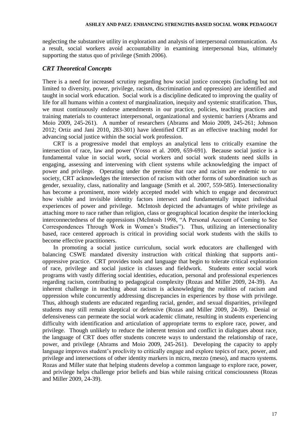neglecting the substantive utility in exploration and analysis of interpersonal communication. As a result, social workers avoid accountability in examining interpersonal bias, ultimately supporting the status quo of privilege (Smith 2006).

#### *CRT Theoretical Concepts*

There is a need for increased scrutiny regarding how social justice concepts (including but not limited to diversity, power, privilege, racism, discrimination and oppression) are identified and taught in social work education. Social work is a discipline dedicated to improving the quality of life for all humans within a context of marginalization, inequity and systemic stratification. Thus, we must continuously endorse amendments in our practice, policies, teaching practices and training materials to counteract interpersonal, organizational and systemic barriers (Abrams and Moio 2009, 245-261). A number of researchers (Abrams and Moio 2009, 245-261; Johnson 2012; Ortiz and Jani 2010, 283-301) have identified CRT as an effective teaching model for advancing social justice within the social work profession.

CRT is a progressive model that employs an analytical lens to critically examine the intersection of race, law and power (Yosso et al. 2009, 659-691). Because social justice is a fundamental value in social work, social workers and social work students need skills in engaging, assessing and intervening with client systems while acknowledging the impact of power and privilege. Operating under the premise that race and racism are endemic to our society, CRT acknowledges the intersection of racism with other forms of subordination such as gender, sexuality, class, nationality and language (Smith et al. 2007, 559-585). Intersectionality has become a prominent, more widely accepted model with which to engage and deconstruct how visible and invisible identity factors intersect and fundamentally impact individual experiences of power and privilege. McIntosh depicted the advantages of white privilege as attaching more to race rather than religion, class or geographical location despite the interlocking interconnectedness of the oppressions (McIntosh 1998, "A Personal Account of Coming to See Correspondences Through Work in Women's Studies"). Thus, utilizing an intersectionality based, race centered approach is critical in providing social work students with the skills to become effective practitioners.

In promoting a social justice curriculum, social work educators are challenged with balancing CSWE mandated diversity instruction with critical thinking that supports antioppressive practice. CRT provides tools and language that begin to tolerate critical exploration of race, privilege and social justice in classes and fieldwork. Students enter social work programs with vastly differing social identities, education, personal and professional experiences regarding racism, contributing to pedagogical complexity (Rozas and Miller 2009, 24-39). An inherent challenge in teaching about racism is acknowledging the realities of racism and oppression while concurrently addressing discrepancies in experiences by those with privilege. Thus, although students are educated regarding racial, gender, and sexual disparities, privileged students may still remain skeptical or defensive (Rozas and Miller 2009, 24-39). Denial or defensiveness can permeate the social work academic climate, resulting in students experiencing difficulty with identification and articulation of appropriate terms to explore race, power, and privilege. Though unlikely to reduce the inherent tension and conflict in dialogues about race, the language of CRT does offer students concrete ways to understand the relationship of race, power, and privilege (Abrams and Moio 2009, 245-261). Developing the capacity to apply language improves student's proclivity to critically engage and explore topics of race, power, and privilege and intersections of other identity markers in micro, mezzo (meso), and macro systems. Rozas and Miller state that helping students develop a common language to explore race, power, and privilege helps challenge prior beliefs and bias while raising critical consciousness (Rozas and Miller 2009, 24-39).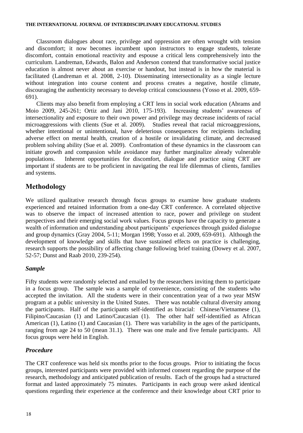#### **THE INTERNATIONAL JOURNAL OF INTERDISCIPLINARY EDUCATIONAL STUDIES**

Classroom dialogues about race, privilege and oppression are often wrought with tension and discomfort; it now becomes incumbent upon instructors to engage students, tolerate discomfort, contain emotional reactivity and espouse a critical lens comprehensively into the curriculum. Landreman, Edwards, Balon and Anderson contend that transformative social justice education is almost never about an exercise or handout, but instead is in how the material is facilitated (Landreman et al. 2008, 2-10). Disseminating intersectionality as a single lecture without integration into course content and process creates a negative, hostile climate, discouraging the authenticity necessary to develop critical consciousness (Yosso et al. 2009, 659- 691).

Clients may also benefit from employing a CRT lens in social work education (Abrams and Moio 2009, 245-261; Ortiz and Jani 2010, 175-193). Increasing students' awareness of intersectionality and exposure to their own power and privilege may decrease incidents of racial microaggressions with clients (Sue et al. 2009). Studies reveal that racial microaggressions, whether intentional or unintentional, have deleterious consequences for recipients including adverse effect on mental health, creation of a hostile or invalidating climate, and decreased problem solving ability (Sue et al. 2009). Confrontation of these dynamics in the classroom can initiate growth and compassion while avoidance may further marginalize already vulnerable populations. Inherent opportunities for discomfort, dialogue and practice using CRT are important if students are to be proficient in navigating the real life dilemmas of clients, families and systems.

# **Methodology**

We utilized qualitative research through focus groups to examine how graduate students experienced and retained information from a one-day CRT conference. A correlated objective was to observe the impact of increased attention to race, power and privilege on student perspectives and their emerging social work values. Focus groups have the capacity to generate a wealth of information and understanding about participants' experiences through guided dialogue and group dynamics (Gray 2004, 5-11; Morgan 1998; Yosso et al. 2009, 659-691). Although the development of knowledge and skills that have sustained effects on practice is challenging, research supports the possibility of affecting change following brief training (Dowey et al. 2007, 52-57; Dunst and Raab 2010, 239-254).

### *Sample*

Fifty students were randomly selected and emailed by the researchers inviting them to participate in a focus group. The sample was a sample of convenience, consisting of the students who accepted the invitation. All the students were in their concentration year of a two year MSW program at a public university in the United States. There was notable cultural diversity among the participants. Half of the participants self-identified as biracial: Chinese/Vietnamese (1), Filipino/Caucasian (1) and Latino/Caucasian (1). The other half self-identified as African American (1), Latino (1) and Caucasian (1). There was variability in the ages of the participants, ranging from age 24 to 50 (mean 31.1). There was one male and five female participants. All focus groups were held in English.

### *Procedure*

The CRT conference was held six months prior to the focus groups. Prior to initiating the focus groups, interested participants were provided with informed consent regarding the purpose of the research, methodology and anticipated publication of results. Each of the groups had a structured format and lasted approximately 75 minutes. Participants in each group were asked identical questions regarding their experience at the conference and their knowledge about CRT prior to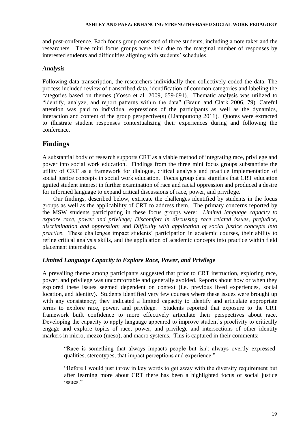#### **ASHLEY AND PAEZ: ENHANCING STRENGTHS-BASED SOCIAL WORK PEDAGOGY**

and post-conference. Each focus group consisted of three students, including a note taker and the researchers. Three mini focus groups were held due to the marginal number of responses by interested students and difficulties aligning with students' schedules.

#### *Analysis*

Following data transcription, the researchers individually then collectively coded the data. The process included review of transcribed data, identification of common categories and labeling the categories based on themes (Yosso et al. 2009, 659-691). Thematic analysis was utilized to "identify, analyze, and report patterns within the data" (Braun and Clark 2006, 79). Careful attention was paid to individual expressions of the participants as well as the dynamics, interaction and content of the group perspective(s) (Liamputtong 2011). Quotes were extracted to illustrate student responses contextualizing their experiences during and following the conference.

# **Findings**

A substantial body of research supports CRT as a viable method of integrating race, privilege and power into social work education. Findings from the three mini focus groups substantiate the utility of CRT as a framework for dialogue, critical analysis and practice implementation of social justice concepts in social work education. Focus group data signifies that CRT education ignited student interest in further examination of race and racial oppression and produced a desire for informed language to expand critical discussions of race, power, and privilege.

Our findings, described below, extricate the challenges identified by students in the focus groups as well as the applicability of CRT to address them. The primary concerns reported by the MSW students participating in these focus groups were: *Limited language capacity to explore race, power and privilege; Discomfort in discussing race related issues, prejudice, discrimination and oppression*; and *Difficulty with application of social justice concepts into practice*. These challenges impact students' participation in academic courses, their ability to refine critical analysis skills, and the application of academic concepts into practice within field placement internships.

### *Limited Language Capacity to Explore Race, Power, and Privilege*

A prevailing theme among participants suggested that prior to CRT instruction, exploring race, power, and privilege was uncomfortable and generally avoided. Reports about how or when they explored these issues seemed dependent on context (i.e. previous lived experiences, social location, and identity). Students identified very few courses where these issues were brought up with any consistency; they indicated a limited capacity to identify and articulate appropriate terms to explore race, power, and privilege. Students reported that exposure to the CRT framework built confidence to more effectively articulate their perspectives about race. Developing the capacity to apply language appeared to improve student's proclivity to critically engage and explore topics of race, power, and privilege and intersections of other identity markers in micro, mezzo (meso), and macro systems. This is captured in their comments:

"Race is something that always impacts people but isn't always overtly expressedqualities, stereotypes, that impact perceptions and experience."

"Before I would just throw in key words to get away with the diversity requirement but after learning more about CRT there has been a highlighted focus of social justice issues."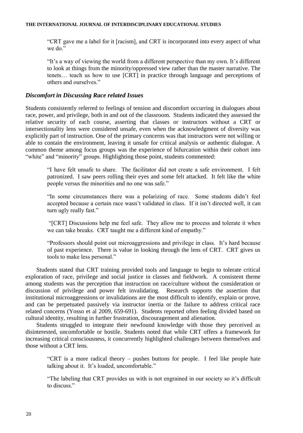"CRT gave me a label for it [racism], and CRT is incorporated into every aspect of what we do."

"It's a way of viewing the world from a different perspective than my own. It's different to look at things from the minority/oppressed view rather than the master narrative. The tenets… teach us how to use [CRT] in practice through language and perceptions of others and ourselves."

#### *Discomfort in Discussing Race related Issues*

Students consistently referred to feelings of tension and discomfort occurring in dialogues about race, power, and privilege, both in and out of the classroom. Students indicated they assessed the relative security of each course, asserting that classes or instructors without a CRT or intersectionality lens were considered unsafe, even when the acknowledgment of diversity was explicitly part of instruction. One of the primary concerns was that instructors were not willing or able to contain the environment, leaving it unsafe for critical analysis or authentic dialogue. A common theme among focus groups was the experience of bifurcation within their cohort into "white" and "minority" groups. Highlighting those point, students commented:

"I have felt unsafe to share. The facilitator did not create a safe environment. I felt patronized. I saw peers rolling their eyes and some felt attacked. It felt like the white people versus the minorities and no one was safe."

"In some circumstances there was a polarizing of race. Some students didn't feel accepted because a certain race wasn't validated in class. If it isn't directed well, it can turn ugly really fast."

"[CRT] Discussions help me feel safe. They allow me to process and tolerate it when we can take breaks. CRT taught me a different kind of empathy."

"Professors should point out microaggressions and privilege in class. It's hard because of past experience. There is value in looking through the lens of CRT. CRT gives us tools to make less personal."

Students stated that CRT training provided tools and language to begin to tolerate critical exploration of race, privilege and social justice in classes and fieldwork. A consistent theme among students was the perception that instruction on race/culture without the consideration or discussion of privilege and power felt invalidating. Research supports the assertion that institutional microaggressions or invalidations are the most difficult to identify, explain or prove, and can be perpetuated passively via instructor inertia or the failure to address critical race related concerns (Yosso et al 2009, 659-691). Students reported often feeling divided based on cultural identity, resulting in further frustration, discouragement and alienation.

Students struggled to integrate their newfound knowledge with those they perceived as disinterested, uncomfortable or hostile. Students noted that while CRT offers a framework for increasing critical consciousness, it concurrently highlighted challenges between themselves and those without a CRT lens.

"CRT is a more radical theory – pushes buttons for people. I feel like people hate talking about it. It's loaded, uncomfortable."

"The labeling that CRT provides us with is not engrained in our society so it's difficult to discuss."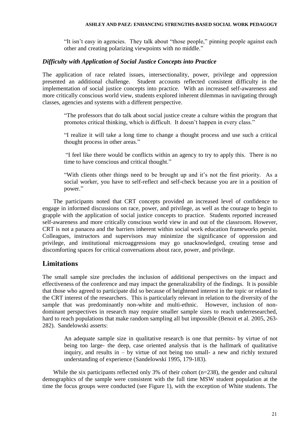#### **ASHLEY AND PAEZ: ENHANCING STRENGTHS-BASED SOCIAL WORK PEDAGOGY**

"It isn't easy in agencies. They talk about "those people," pinning people against each other and creating polarizing viewpoints with no middle."

#### *Difficulty with Application of Social Justice Concepts into Practice*

The application of race related issues, intersectionality, power, privilege and oppression presented an additional challenge. Student accounts reflected consistent difficulty in the implementation of social justice concepts into practice. With an increased self-awareness and more critically conscious world view, students explored inherent dilemmas in navigating through classes, agencies and systems with a different perspective.

"The professors that do talk about social justice create a culture within the program that promotes critical thinking, which is difficult. It doesn't happen in every class."

"I realize it will take a long time to change a thought process and use such a critical thought process in other areas."

"I feel like there would be conflicts within an agency to try to apply this. There is no time to have conscious and critical thought."

"With clients other things need to be brought up and it's not the first priority. As a social worker, you have to self-reflect and self-check because you are in a position of power."

The participants noted that CRT concepts provided an increased level of confidence to engage in informed discussions on race, power, and privilege, as well as the courage to begin to grapple with the application of social justice concepts to practice. Students reported increased self-awareness and more critically conscious world view in and out of the classroom. However, CRT is not a panacea and the barriers inherent within social work education frameworks persist. Colleagues, instructors and supervisors may minimize the significance of oppression and privilege, and institutional microaggressions may go unacknowledged, creating tense and discomforting spaces for critical conversations about race, power, and privilege.

### **Limitations**

The small sample size precludes the inclusion of additional perspectives on the impact and effectiveness of the conference and may impact the generalizability of the findings. It is possible that those who agreed to participate did so because of heightened interest in the topic or related to the CRT interest of the researchers. This is particularly relevant in relation to the diversity of the sample that was predominantly non-white and multi-ethnic. However, inclusion of nondominant perspectives in research may require smaller sample sizes to reach underresearched, hard to reach populations that make random sampling all but impossible (Benoit et al. 2005, 263- 282). Sandelowski asserts:

An adequate sample size in qualitative research is one that permits- by virtue of not being too large- the deep, case oriented analysis that is the hallmark of qualitative inquiry, and results in – by virtue of not being too small- a new and richly textured understanding of experience (Sandelowski 1995, 179-183).

While the six participants reflected only 3% of their cohort (n=238), the gender and cultural demographics of the sample were consistent with the full time MSW student population at the time the focus groups were conducted (see Figure 1), with the exception of White students. The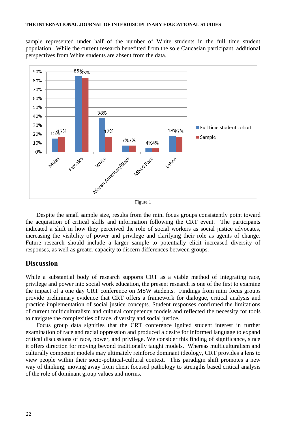sample represented under half of the number of White students in the full time student population. While the current research benefitted from the sole Caucasian participant, additional perspectives from White students are absent from the data.



Figure 1

Despite the small sample size, results from the mini focus groups consistently point toward the acquisition of critical skills and information following the CRT event. The participants indicated a shift in how they perceived the role of social workers as social justice advocates, increasing the visibility of power and privilege and clarifying their role as agents of change. Future research should include a larger sample to potentially elicit increased diversity of responses, as well as greater capacity to discern differences between groups.

#### **Discussion**

While a substantial body of research supports CRT as a viable method of integrating race, privilege and power into social work education, the present research is one of the first to examine the impact of a one day CRT conference on MSW students. Findings from mini focus groups provide preliminary evidence that CRT offers a framework for dialogue, critical analysis and practice implementation of social justice concepts. Student responses confirmed the limitations of current multiculturalism and cultural competency models and reflected the necessity for tools to navigate the complexities of race, diversity and social justice.

Focus group data signifies that the CRT conference ignited student interest in further examination of race and racial oppression and produced a desire for informed language to expand critical discussions of race, power, and privilege. We consider this finding of significance, since it offers direction for moving beyond traditionally taught models. Whereas multiculturalism and culturally competent models may ultimately reinforce dominant ideology, CRT provides a lens to view people within their socio-political-cultural context. This paradigm shift promotes a new way of thinking; moving away from client focused pathology to strengths based critical analysis of the role of dominant group values and norms.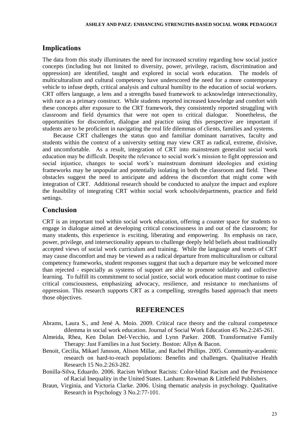#### **Implications**

The data from this study illuminates the need for increased scrutiny regarding how social justice concepts (including but not limited to diversity, power, privilege, racism, discrimination and oppression) are identified, taught and explored in social work education. The models of multiculturalism and cultural competency have underscored the need for a more contemporary vehicle to infuse depth, critical analysis and cultural humility to the education of social workers. CRT offers language, a lens and a strengths based framework to acknowledge intersectionality, with race as a primary construct. While students reported increased knowledge and comfort with these concepts after exposure to the CRT framework, they consistently reported struggling with classroom and field dynamics that were not open to critical dialogue. Nonetheless, the opportunities for discomfort, dialogue and practice using this perspective are important if students are to be proficient in navigating the real life dilemmas of clients, families and systems.

Because CRT challenges the status quo and familiar dominant narratives, faculty and students within the context of a university setting may view CRT as radical, extreme, divisive, and uncomfortable. As a result, integration of CRT into mainstream generalist social work education may be difficult. Despite the relevance to social work's mission to fight oppression and social injustice, changes to social work's mainstream dominant ideologies and existing frameworks may be unpopular and potentially isolating in both the classroom and field. These obstacles suggest the need to anticipate and address the discomfort that might come with integration of CRT. Additional research should be conducted to analyze the impact and explore the feasibility of integrating CRT within social work schools/departments, practice and field settings.

#### **Conclusion**

CRT is an important tool within social work education, offering a counter space for students to engage in dialogue aimed at developing critical consciousness in and out of the classroom; for many students, this experience is exciting, liberating and empowering. Its emphasis on race, power, privilege, and intersectionality appears to challenge deeply held beliefs about traditionally accepted views of social work curriculum and training. While the language and tenets of CRT may cause discomfort and may be viewed as a radical departure from multiculturalism or cultural competency frameworks, student responses suggest that such a departure may be welcomed more than rejected - especially as systems of support are able to promote solidarity and collective learning. To fulfill its commitment to social justice, social work education must continue to raise critical consciousness, emphasizing advocacy, resilience, and resistance to mechanisms of oppression. This research supports CRT as a compelling, strengths based approach that meets those objectives.

# **REFERENCES**

- Abrams, Laura S., and Jené A. Moio. 2009. Critical race theory and the cultural competence dilemma in social work education. Journal of Social Work Education 45 No.2:245-261.
- Almeida, Rhea, Ken Dolan Del-Vecchio, and Lynn Parker. 2008. Transformative Family Therapy: Just Families in a Just Society. Boston: Allyn & Bacon.
- Benoit, Cecilia, Mikael Jansson, Alison Millar, and Rachel Phillips. 2005. Community-academic research on hard-to-reach populations: Benefits and challenges. Qualitative Health Research 15 No.2:263-282.
- Bonilla-Silva, Eduardo. 2006. Racism Without Racists: Color-blind Racism and the Persistence of Racial Inequality in the United States. Lanham: Rowman & Littlefield Publishers.
- Braun, Virginia, and Victoria Clarke. 2006. Using thematic analysis in psychology. Qualitative Research in Psychology 3 No.2:77-101.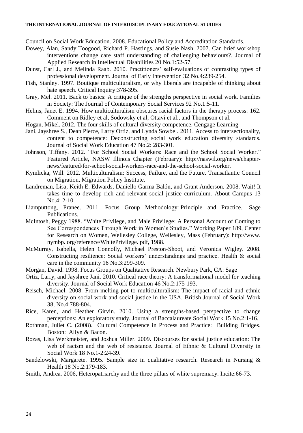#### **THE INTERNATIONAL JOURNAL OF INTERDISCIPLINARY EDUCATIONAL STUDIES**

Council on Social Work Education. 2008. Educational Policy and Accreditation Standards.

- Dowey, Alan, Sandy Toogood, Richard P. Hastings, and Susie Nash. 2007. Can brief workshop interventions change care staff understanding of challenging behaviours?. Journal of Applied Research in Intellectual Disabilities 20 No.1:52-57.
- Dunst, Carl J., and Melinda Raab. 2010. Practitioners' self-evaluations of contrasting types of professional development. Journal of Early Intervention 32 No.4:239-254.
- Fish, Stanley. 1997. Boutique multiculturalism, or why liberals are incapable of thinking about hate speech. Critical Inquiry:378-395.
- Gray, Mel. 2011. Back to basics: A critique of the strengths perspective in social work. Families in Society: The Journal of Contemporary Social Services 92 No.1:5-11.
- Helms, Janet E. 1994. How multiculturalism obscures racial factors in the therapy process: 162. Comment on Ridley et al, Sodowsky et al, Ottavi et al., and Thompson et al.
- Hogan, Mikel. 2012. The four skills of cultural diversity competence. Cengage Learning
- Jani, Jayshree S., Dean Pierce, Larry Ortiz, and Lynda Sowbel. 2011. Access to intersectionality, content to competence: Deconstructing social work education diversity standards. Journal of Social Work Education 47 No.2: 283-301.
- Johnson, Tiffany. 2012. "For School Social Workers: Race and the School Social Worker." Featured Article, NASW Illinois Chapter (February): [http://naswil.org/news/chapter](http://naswil.org/news/chapter-news/featured/for-school-social-workers-race-and-the-school-social-worker)[news/featured/for-school-social-workers-race-and-the-school-social-worker.](http://naswil.org/news/chapter-news/featured/for-school-social-workers-race-and-the-school-social-worker)
- Kymlicka, Will. 2012. Multiculturalism: Success, Failure, and the Future. Transatlantic Council on Migration, Migration Policy Institute.
- Landreman, Lisa, Keith E. Edwards, Daniello Garma Balón, and Grant Anderson. 2008. Wait! It takes time to develop rich and relevant social justice curriculum. About Campus 13 No.4: 2-10.
- Liamputtong, Pranee. 2011. Focus Group Methodology: Principle and Practice. Sage Publications.
- McIntosh, Peggy 1988. "White Privilege, and Male Privilege: A Personal Account of Coming to See Correspondences Through Work in Women's Studies." Working Paper 189, Center for Research on Women, Wellesley College, Wellesley, Mass (February): http://www. nymbp. org/reference/WhitePrivilege. pdf, 1988.
- McMurray, Isabella, Helen Connolly, Michael Preston‐Shoot, and Veronica Wigley. 2008. Constructing resilience: Social workers' understandings and practice. Health & social care in the community 16 No.3:299-309.
- Morgan, David. 1998. Focus Groups on Qualitative Research. Newbury Park, CA: Sage
- Ortiz, Larry, and Jayshree Jani. 2010. Critical race theory: A transformational model for teaching diversity. Journal of Social Work Education 46 No.2:175-193.
- Reisch, Michael. 2008. From melting pot to multiculturalism: The impact of racial and ethnic diversity on social work and social justice in the USA. British Journal of Social Work 38, No.4:788-804.
- Rice, Karen, and Heather Girvin. 2010. Using a strengths-based perspective to change perceptions: An exploratory study. Journal of Baccalaureate Social Work 15 No.2:1-16.
- Rothman, Juliet C. (2008). Cultural Competence in Process and Practice: Building Bridges. Boston: Allyn & Bacon.
- Rozas, Lisa Werkmeister, and Joshua Miller. 2009. Discourses for social justice education: The web of racism and the web of resistance. Journal of Ethnic & Cultural Diversity in Social Work 18 No.1-2:24-39.
- Sandelowski, Margarete. 1995. Sample size in qualitative research. Research in Nursing & Health 18 No.2:179-183.
- Smith, Andrea. 2006, Heteropatriarchy and the three pillars of white supremacy. Incite:66-73.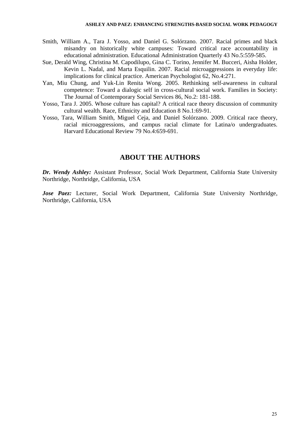- Smith, William A., Tara J. Yosso, and Daniel G. Solórzano. 2007. Racial primes and black misandry on historically white campuses: Toward critical race accountability in educational administration. Educational Administration Quarterly 43 No.5:559-585.
- Sue, Derald Wing, Christina M. Capodilupo, Gina C. Torino, Jennifer M. Bucceri, Aisha Holder, Kevin L. Nadal, and Marta Esquilin. 2007. Racial microaggressions in everyday life: implications for clinical practice. American Psychologist 62, No.4:271.
- Yan, Miu Chung, and Yuk-Lin Renita Wong. 2005. Rethinking self-awareness in cultural competence: Toward a dialogic self in cross-cultural social work. Families in Society: The Journal of Contemporary Social Services 86, No.2: 181-188.
- Yosso, Tara J. 2005. Whose culture has capital? A critical race theory discussion of community cultural wealth. Race, Ethnicity and Education 8 No.1:69-91.
- Yosso, Tara, William Smith, Miguel Ceja, and Daniel Solórzano. 2009. Critical race theory, racial microaggressions, and campus racial climate for Latina/o undergraduates. Harvard Educational Review 79 No.4:659-691.

### **ABOUT THE AUTHORS**

*Dr. Wendy Ashley:* Assistant Professor, Social Work Department, California State University Northridge, Northridge, California, USA

*Jose Paez:* Lecturer, Social Work Department, California State University Northridge, Northridge, California, USA